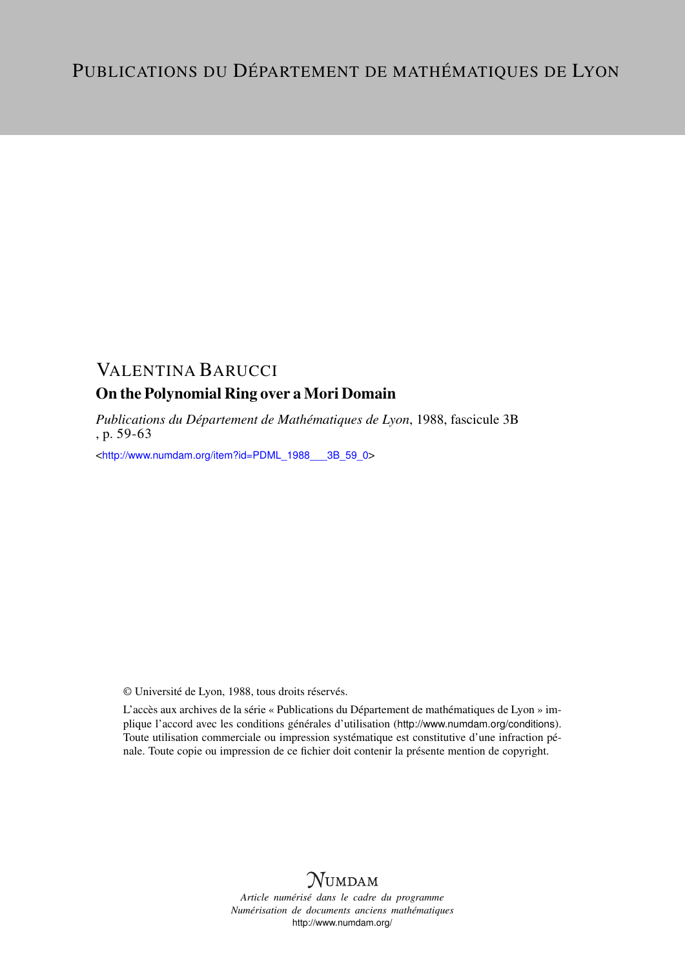# VALENTINA BARUCCI

## On the Polynomial Ring over a Mori Domain

*Publications du Département de Mathématiques de Lyon*, 1988, fascicule 3B , p. 59-63

<[http://www.numdam.org/item?id=PDML\\_1988\\_\\_\\_3B\\_59\\_0](http://www.numdam.org/item?id=PDML_1988___3B_59_0)>

© Université de Lyon, 1988, tous droits réservés.

L'accès aux archives de la série « Publications du Département de mathématiques de Lyon » implique l'accord avec les conditions générales d'utilisation (<http://www.numdam.org/conditions>). Toute utilisation commerciale ou impression systématique est constitutive d'une infraction pénale. Toute copie ou impression de ce fichier doit contenir la présente mention de copyright.



*Article numérisé dans le cadre du programme Numérisation de documents anciens mathématiques* <http://www.numdam.org/>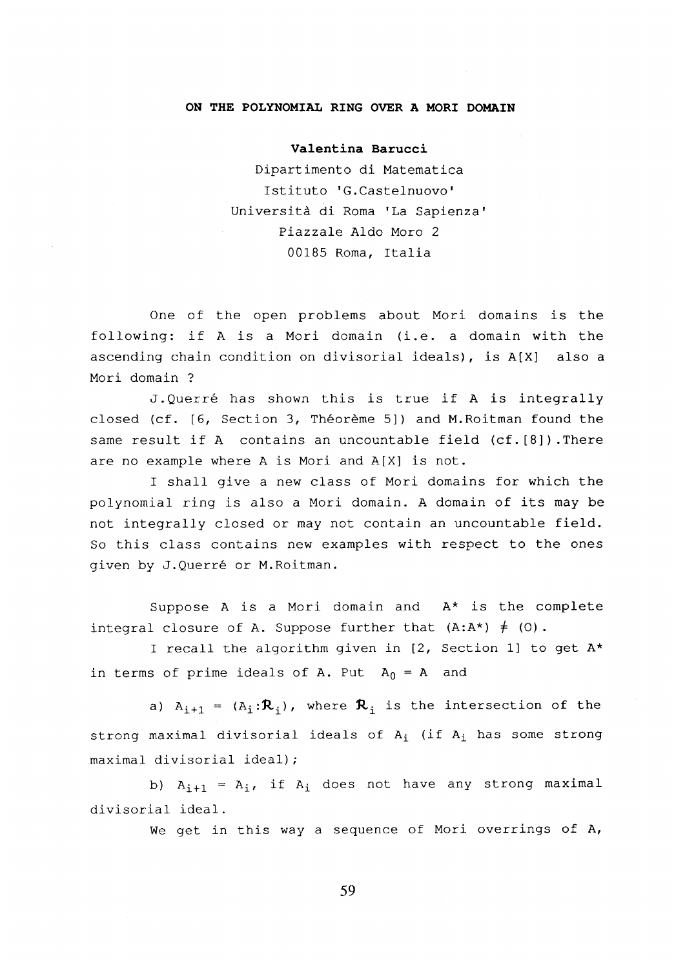### **ON THE POLYNOMIAL RING OVER A MORI DOMAIN**

#### **Valentina Barucci**

Dipartimento di Matematica Istituto 'G.Castelnuovo Università di Roma 'La Sapienza Piazzale Aldo Moro 2 00185 Roma, Italia

One of the open problems about Mori domains is the following: if A is a Mori domain (i.e. a domain with the ascending chain condition on divisorial ideals), is A[X] also a Mori domain ?

J. Querré has shown this is true if A is integrally closed (cf. [6, Section 3, Théorème 5]) and M.Roitman found the same result if A contains an uncountable field (cf.[8]). There are no example where A is Mori and A[X] is not.

I shall give a new class of Mori domains for which the polynomial ring is also a Mori domain. A domain of its may be not integrally closed or may not contain an uncountable field. So this class contains new examples with respect to the ones given by J.Querré or M.Roitman.

Suppose A is a Mori domain and  $A^*$  is the complete integral closure of A. Suppose further that  $(A:A^*) \neq (0)$ .

I recall the algorithm given in  $[2,$  Section 1] to get  $A^{\star}$ in terms of prime ideals of A. Put  $A_0 = A$  and

a)  $A_{i+1}$  =  $(A_i: \mathcal{R}_i)$ , where  $\mathcal{R}_i$  is the intersection of the strong maximal divisorial ideals of  $A_i$  (if  $A_i$  has some strong maximal divisorial ideal);

b)  $A_{i+1} = A_i$ , if  $A_i$  does not have any strong maximal divisorial ideal.

We get in this way a sequence of Mori overrings of A,

**59**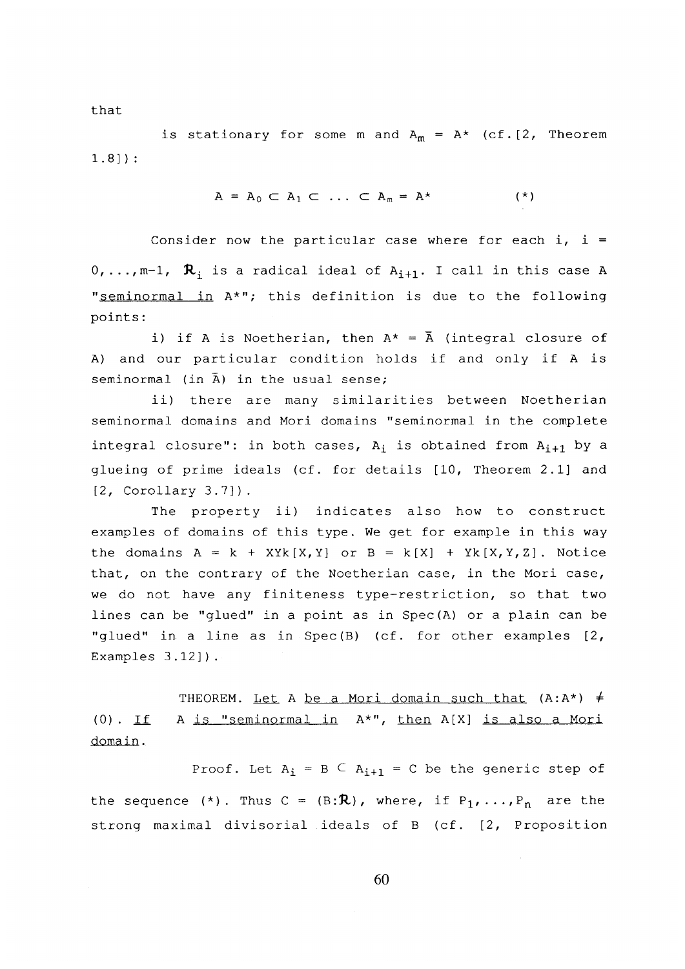that

is stationary for some m and  $A_m = A^*$  (cf.[2, Theorem 1.8] ) :

$$
A = A_0 \subset A_1 \subset \ldots \subset A_m = A^{\star} \qquad (*)
$$

Consider now the particular case where for each  $i$ ,  $i =$  $0, \ldots, m-1$ ,  $\mathcal{R}_i$  is a radical ideal of  $A_{i+1}$ . I call in this case A "seminormal in A\*"; this definition is due to the following points:

i) if A is Noetherian, then  $A^* = \overline{A}$  (integral closure of A) and our particular condition holds if and only if A is seminormal (in  $\bar{A}$ ) in the usual sense;

ii) there are many similarities between Noetherian seminormal domains and Mori domains "seminormal in the complete integral closure": in both cases,  $A_i$  is obtained from  $A_{i+1}$  by a glueing of prime ideals (cf. for details [10, Theorem 2.1] and [2, Corollary 3.7]).

The property ii) indicates also how to construct examples of domains of this type. We get for example in this way the domains  $A = k + XYk[X, Y]$  or  $B = k[X] + Yk[X, Y, Z]$ . Notice that, on the contrary of the Noetherian case, in the Mori case, we do not have any finiteness type-restriction, so that two lines can be "glued" in a point as in Spec(A) or a plain can be "glued" in a line as in Spec(B) (cf. for other examples [2, Examples 3.12]).

THEOREM. Let A be a Mori domain such that  $(A:A^*)$   $\neq$ (0) . if. A is "seminormal in A\*", then A[X] is also a Mori domain.

Proof. Let  $A_i = B \subseteq A_{i+1} = C$  be the generic step of the sequence (\*). Thus  $C = (B: \mathbb{R})$ , where, if  $P_1, \ldots, P_n$  are the strong maximal divisorial ideals of B (cf. [2, Proposition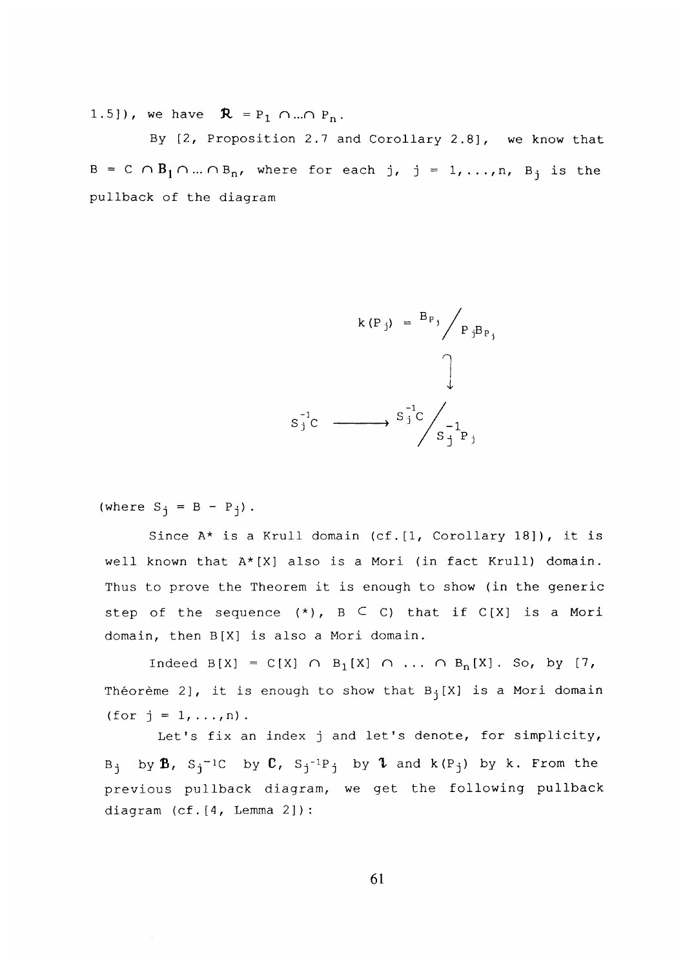1.5]), we have  $\mathbf{R} = P_1 \cap ... \cap P_n$ .

By [2, Proposition 2.7 and Corollary 2.8] , we know that  $B = C \cap B_1 \cap ... \cap B_n$ , where for each j, j = 1,...,n,  $B_j$  is the pullback of the diagram



(where  $S_i = B - P_i$ ).

Since  $A^*$  is a Krull domain (cf. [1, Corollary 18]), it is well known that A\*[X] also is a Mori (in fact Krull) domain. Thus to prove the Theorem it is enough to show (in the generic step of the sequence  $(*)$ ,  $B \subseteq C$ ) that if  $C[X]$  is a Mori domain, then B[X] is also a Mori domain.

Indeed  $B[X] = C[X] \cap B_1[X] \cap ... \cap B_n[X]$ . So, by [7, Théorème 2], it is enough to show that  $B_i[X]$  is a Mori domain (for  $j = 1, ..., n$ ).

Let's fix an index j and let's denote, for simplicity, Bj byfi, Sj-iC by **C,** Sj-!Pj by **X** and k(Pj) by k. From the previous pullback diagram, we get the following pullback diagram (cf.[4, Lemma 2]) :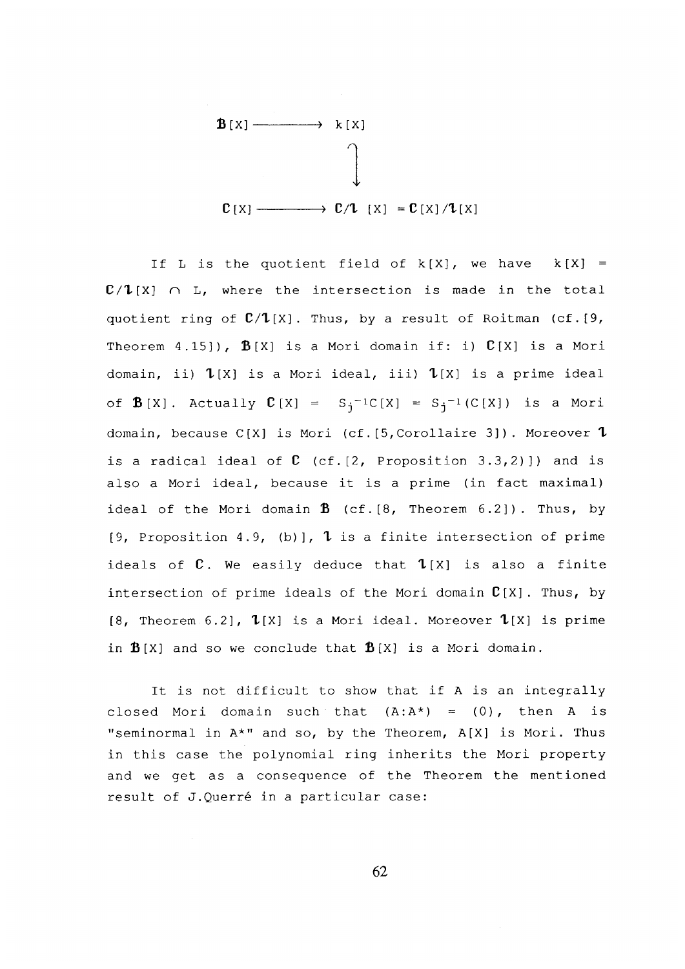

If L is the quotient field of  $k[X]$ , we have  $k[X] =$  $\mathbb{C}/\mathbb{1}[X]$   $\cap$  L, where the intersection is made in the total quotient ring of **C/T**[X]. Thus, by a result of Roitman (cf.[9, Theorem  $4.15$ ]),  $\mathbf{\hat{B}}[X]$  is a Mori domain if: i)  $\mathbf{\hat{C}}[X]$  is a Mori domain, ii) **T**[X] is a Mori ideal, iii) **T**[X] is a prime ideal of **B** [X]. Actually  $C[X] = S_i^{-1}C[X] = S_i^{-1}(C[X])$  is a Mori domain, because C[X] is Mori (cf.[5,Corollaire 3]) . Moreover **T**  is a radical ideal of **C** (cf.[2, Proposition 3.3,2)]) and is also a Mori ideal, because it is a prime (in fact maximal) ideal of the Mori domain  $\hat{B}$  (cf.[8, Theorem 6.2]). Thus, by [9, Proposition 4.9, (b)], **1** is a finite intersection of prime ideals of **C** . We easily deduce that **T**[X] is also a finite intersection of prime ideals of the Mori domain **C**[X], Thus, by [8, Theorem 6.2], **T**[X] is a Mori ideal. Moreover **T**[X] is prime in  $\mathbf{B}[X]$  and so we conclude that  $\mathbf{B}[X]$  is a Mori domain.

It is not difficult to show that if A is an integrally closed Mori domain such that  $(A:A^*) = (0)$ , then A is "seminormal in A\*" and so, by the Theorem, A[X] is Mori. Thus in this case the polynomial ring inherits the Mori property and we get as a consequence of the Theorem the mentioned result of J.Querré in a particular case:

**62**